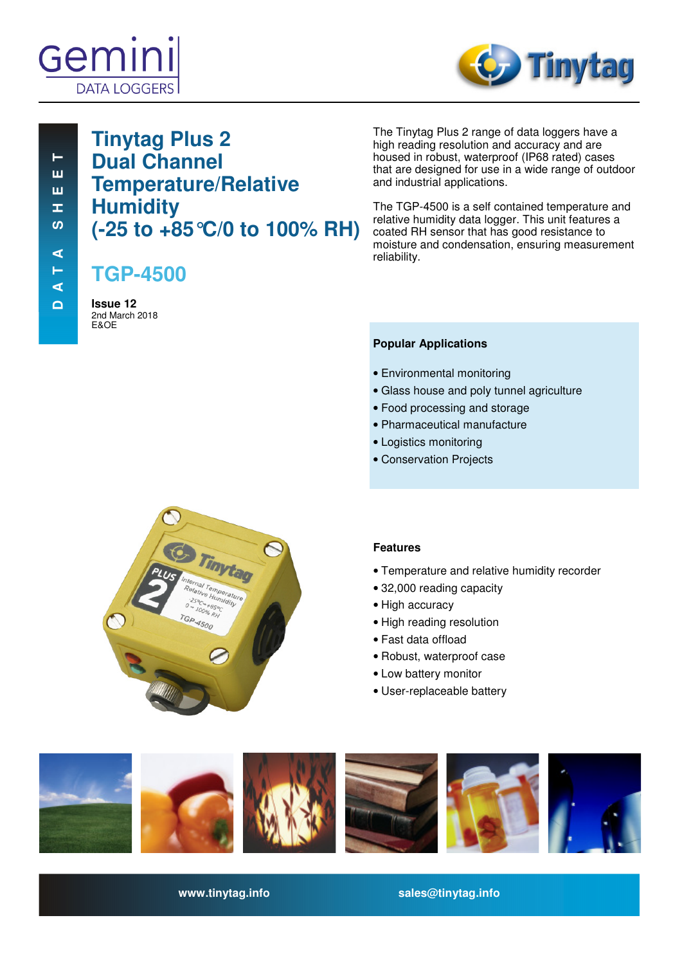



# **Tinytag Plus 2 Dual Channel Temperature/Relative Humidity (-25 to +85°C/0 to 100% RH)**

**TGP-4500**

**Issue 12**  2nd March 2018 E&OE

The Tinytag Plus 2 range of data loggers have a high reading resolution and accuracy and are housed in robust, waterproof (IP68 rated) cases that are designed for use in a wide range of outdoor and industrial applications.

The TGP-4500 is a self contained temperature and relative humidity data logger. This unit features a coated RH sensor that has good resistance to moisture and condensation, ensuring measurement reliability.

### **Popular Applications**

- Environmental monitoring
- Glass house and poly tunnel agriculture
- Food processing and storage
- Pharmaceutical manufacture
- Logistics monitoring
- Conservation Projects



### **Features**

- Temperature and relative humidity recorder
- 32,000 reading capacity
- High accuracy
- High reading resolution
- Fast data offload
- Robust, waterproof case
- Low battery monitor
- User-replaceable battery



**www.tinytag.info sales@tinytag.info**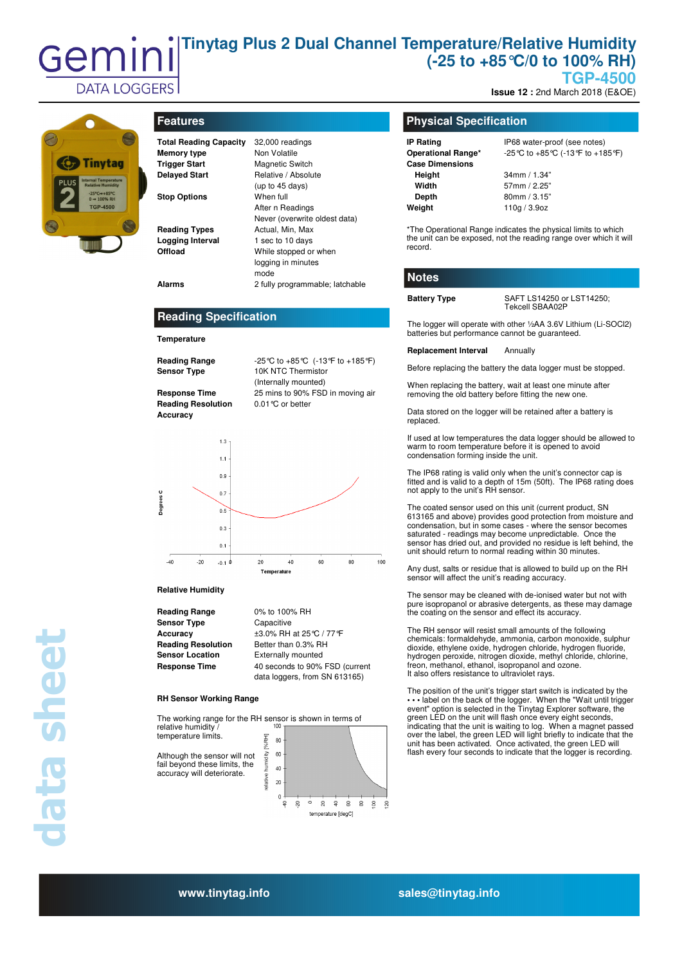### **Tinytag Plus 2 Dual Channel Temperature/Relative Humidity**  Gemir **(-25 to +85°C/0 to 100% RH) TGP-4500**

**Issue 12 :** 2nd March 2018 (E&OE)



**DATA LOGGERS** 

# **Features**

| <b>Total Reading Capacity</b> | 32,000 readi  |
|-------------------------------|---------------|
| <b>Memory type</b>            | Non Volatile  |
| <b>Trigger Start</b>          | Magnetic Sw   |
| <b>Delayed Start</b>          | Relative / Ab |
|                               | (up to 45 day |
| <b>Stop Options</b>           | When full     |
|                               | After n Read  |

**Temperature** 

**Accuracy** 

begrees C

 $-40$ 

**Reading Specification** 

**Reading Range** -25°C to +85°C (-13°F to +185°F)

**Response Time** 25 mins to 90% FSD in moving air

(Internally mounted)

**Sensor Type** 10K NTC Thermistor

**Reading Resolution** 0.01°C or better

 $1.3$  $1.1$  $0<sup>5</sup>$  $0.7$ 

 $0.5$  $0.3$  $0<sub>1</sub>$ 

| <b>Total Reading Capacity</b> | 32,000 readings                 |
|-------------------------------|---------------------------------|
| Memory type                   | Non Volatile                    |
| <b>Trigger Start</b>          | <b>Magnetic Switch</b>          |
| <b>Delayed Start</b>          | Relative / Absolute             |
|                               | (up to $45$ days)               |
| <b>Stop Options</b>           | When full                       |
|                               | After n Readings                |
|                               | Never (overwrite oldest data)   |
| <b>Reading Types</b>          | Actual, Min, Max                |
| <b>Logging Interval</b>       | 1 sec to 10 days                |
| Offload                       | While stopped or when           |
|                               | logging in minutes              |
|                               | mode                            |
| <b>Alarms</b>                 | 2 fully programmable; latchable |

### **Physical Specification**

| <b>IP Rating</b>       |
|------------------------|
| Operational Range*     |
| <b>Case Dimensions</b> |
| Height                 |
| Width                  |
| Depth                  |
| Weight                 |
|                        |

**IP68** water-proof (see notes) **Operational Range\*** -25°C to +85°C (-13°F to +185°F)

**Height** 34mm / 1.34" **Width** 57mm / 2.25" **Depth** 80mm / 3.15" **Weight** 110g / 3.9oz

\*The Operational Range indicates the physical limits to which the unit can be exposed, not the reading range over which it will record.

### **Notes**

**Battery Type** SAFT LS14250 or LST14250; Tekcell SBAA02P

The logger will operate with other ½AA 3.6V Lithium (Li-SOCl2) batteries but performance cannot be guaranteed.

**Replacement Interval** Annually

Before replacing the battery the data logger must be stopped.

When replacing the battery, wait at least one minute after removing the old battery before fitting the new one.

Data stored on the logger will be retained after a battery is replaced.

If used at low temperatures the data logger should be allowed to warm to room temperature before it is opened to avoid condensation forming inside the unit.

The IP68 rating is valid only when the unit's connector cap is fitted and is valid to a depth of 15m (50ft). The IP68 rating does not apply to the unit's RH sensor.

The coated sensor used on this unit (current product, SN 613165 and above) provides good protection from moisture and condensation, but in some cases - where the sensor becomes saturated - readings may become unpredictable. Once the sensor has dried out, and provided no residue is left behind, the unit should return to normal reading within 30 minutes

Any dust, salts or residue that is allowed to build up on the RH sensor will affect the unit's reading accuracy.

The sensor may be cleaned with de-ionised water but not with pure isopropanol or abrasive detergents, as these may damage the coating on the sensor and effect its accuracy.

The RH sensor will resist small amounts of the following chemicals: formaldehyde, ammonia, carbon monoxide, sulphur dioxide, ethylene oxide, hydrogen chloride, hydrogen fluoride, hydrogen peroxide, nitrogen dioxide, methyl chloride, chlorine, freon, methanol, ethanol, isopropanol and ozone. It also offers resistance to ultraviolet rays.

The position of the unit's trigger start switch is indicated by the **• • •** label on the back of the logger. When the "Wait until trigger event" option is selected in the Tinytag Explorer software, the green LED on the unit will flash once every eight seconds, indicating that the unit is waiting to log. When a magnet passed over the label, the green LED will light briefly to indicate that the unit has been activated. Once activated, the green LED will flash every four seconds to indicate that the logger is recording.

**Relative Humidity Reading Range** 0% to 100% RH **Sensor Type Capacitive Sensor Location** Externally mounted

 $-20$  $-0.1$ 

**Accuracy** ±3.0% RH at 25°C / 77°F **Reading Resolution** Better than 0.3% RH **Response Time** 40 seconds to 90% FSD (current data loggers, from SN 613165)

60

 $80$ 

100

### **RH Sensor Working Range**

The working range for the RH sensor is shown in terms of relative humidity  $/$ relative humidity / temperature limits.

 $20$ 

Temp

 $40$ 

Although the sensor will not fail beyond these limits, the accuracy will deteriorate.